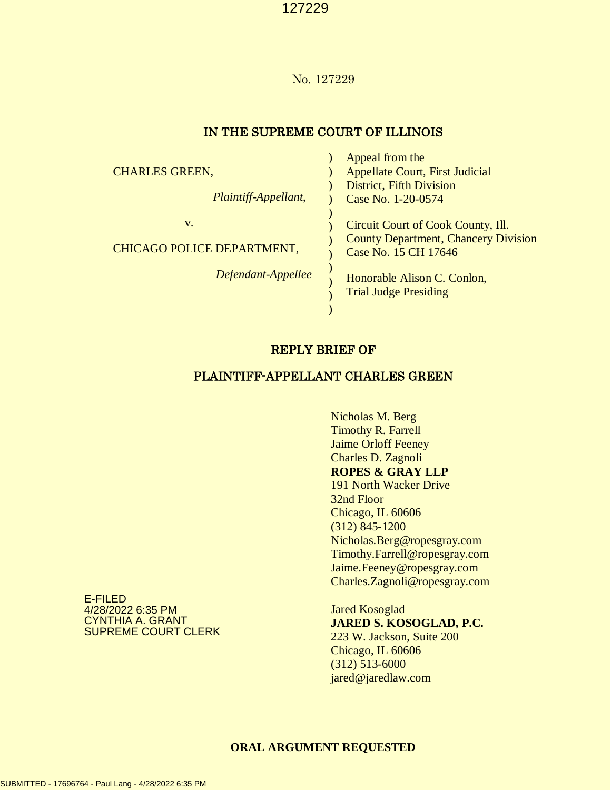### No. 127229

## IN THE SUPREME COURT OF ILLINOIS

Appeal from the

|                            | Appeal from the                                                     |
|----------------------------|---------------------------------------------------------------------|
| <b>CHARLES GREEN,</b>      | <b>Appellate Court, First Judicial</b>                              |
|                            | <b>District, Fifth Division</b>                                     |
| Plaintiff-Appellant,       | Case No. 1-20-0574                                                  |
|                            |                                                                     |
| V.                         | Circuit Court of Cook County, Ill.                                  |
| CHICAGO POLICE DEPARTMENT, | <b>County Department, Chancery Division</b><br>Case No. 15 CH 17646 |
| Defendant-Appellee         | Honorable Alison C. Conlon,<br><b>Trial Judge Presiding</b>         |
|                            |                                                                     |

## REPLY BRIEF OF

## PLAINTIFF-APPELLANT CHARLES GREEN

Nicholas M. Berg Timothy R. Farrell Jaime Orloff Feeney Charles D. Zagnoli **ROPES & GRAY LLP** 191 North Wacker Drive 32nd Floor Chicago, IL 60606 (312) 845-1200 Nicholas.Berg@ropesgray.com Timothy.Farrell@ropesgray.com Jaime.Feeney@ropesgray.com Charles.Zagnoli@ropesgray.com

Jared Kosoglad **JARED S. KOSOGLAD, P.C.** 223 W. Jackson, Suite 200 Chicago, IL 60606 (312) 513-6000 jared@jaredlaw.com

E-FILED 4/28/2022 6:35 PM CYNTHIA A. GRANT SUPREME COURT CLERK

#### **ORAL ARGUMENT REQUESTED**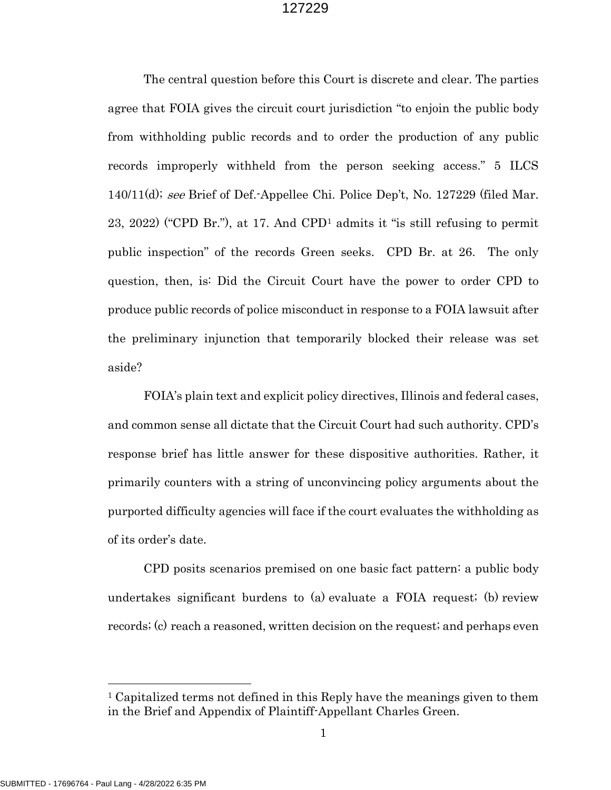The central question before this Court is discrete and clear. The parties agree that FOIA gives the circuit court jurisdiction "to enjoin the public body from withholding public records and to order the production of any public records improperly withheld from the person seeking access." 5 ILCS 140/11(d); see Brief of Def.-Appellee Chi. Police Dep't, No. 127229 (filed Mar. 23, 2022) ("CPD Br."), at 17. And CPD[1](#page-1-0) admits it "is still refusing to permit public inspection" of the records Green seeks. CPD Br. at 26. The only question, then, is: Did the Circuit Court have the power to order CPD to produce public records of police misconduct in response to a FOIA lawsuit after the preliminary injunction that temporarily blocked their release was set aside?

FOIA's plain text and explicit policy directives, Illinois and federal cases, and common sense all dictate that the Circuit Court had such authority. CPD's response brief has little answer for these dispositive authorities. Rather, it primarily counters with a string of unconvincing policy arguments about the purported difficulty agencies will face if the court evaluates the withholding as of its order's date.

CPD posits scenarios premised on one basic fact pattern: a public body undertakes significant burdens to (a) evaluate a FOIA request; (b) review records; (c) reach a reasoned, written decision on the request; and perhaps even

<span id="page-1-0"></span><sup>&</sup>lt;sup>1</sup> Capitalized terms not defined in this Reply have the meanings given to them in the Brief and Appendix of Plaintiff-Appellant Charles Green.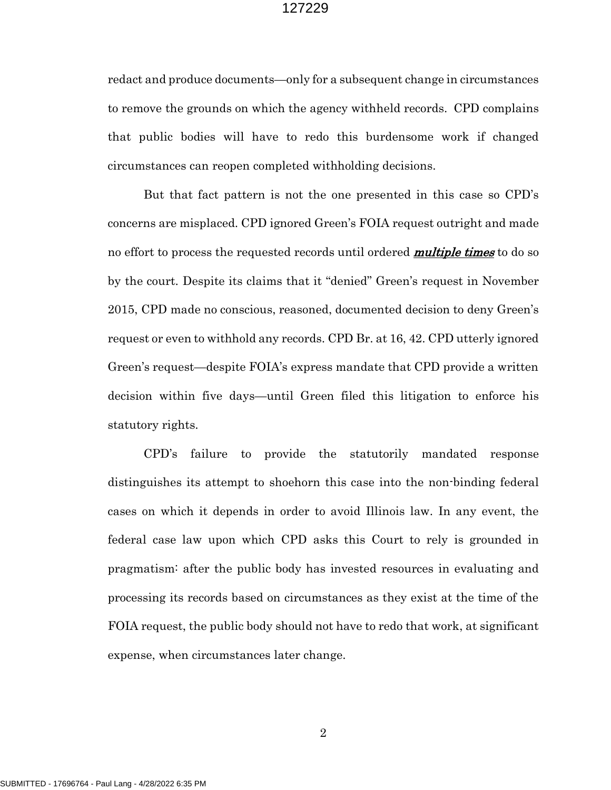redact and produce documents—only for a subsequent change in circumstances to remove the grounds on which the agency withheld records. CPD complains that public bodies will have to redo this burdensome work if changed circumstances can reopen completed withholding decisions.

But that fact pattern is not the one presented in this case so CPD's concerns are misplaced. CPD ignored Green's FOIA request outright and made no effort to process the requested records until ordered **multiple times** to do so by the court. Despite its claims that it "denied" Green's request in November 2015, CPD made no conscious, reasoned, documented decision to deny Green's request or even to withhold any records. CPD Br. at 16, 42. CPD utterly ignored Green's request—despite FOIA's express mandate that CPD provide a written decision within five days—until Green filed this litigation to enforce his statutory rights.

CPD's failure to provide the statutorily mandated response distinguishes its attempt to shoehorn this case into the non-binding federal cases on which it depends in order to avoid Illinois law. In any event, the federal case law upon which CPD asks this Court to rely is grounded in pragmatism: after the public body has invested resources in evaluating and processing its records based on circumstances as they exist at the time of the FOIA request, the public body should not have to redo that work, at significant expense, when circumstances later change.

2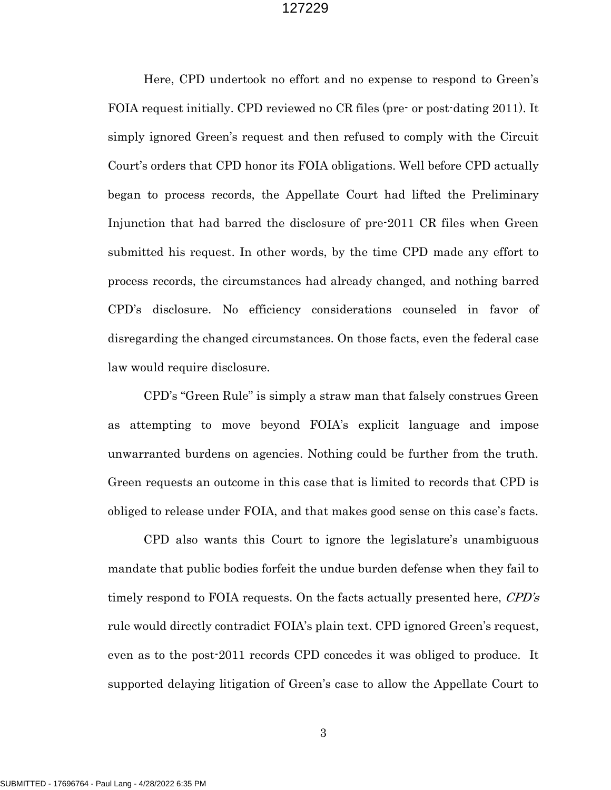Here, CPD undertook no effort and no expense to respond to Green's FOIA request initially. CPD reviewed no CR files (pre- or post-dating 2011). It simply ignored Green's request and then refused to comply with the Circuit Court's orders that CPD honor its FOIA obligations. Well before CPD actually began to process records, the Appellate Court had lifted the Preliminary Injunction that had barred the disclosure of pre-2011 CR files when Green submitted his request. In other words, by the time CPD made any effort to process records, the circumstances had already changed, and nothing barred CPD's disclosure. No efficiency considerations counseled in favor of disregarding the changed circumstances. On those facts, even the federal case law would require disclosure.

CPD's "Green Rule" is simply a straw man that falsely construes Green as attempting to move beyond FOIA's explicit language and impose unwarranted burdens on agencies. Nothing could be further from the truth. Green requests an outcome in this case that is limited to records that CPD is obliged to release under FOIA, and that makes good sense on this case's facts.

CPD also wants this Court to ignore the legislature's unambiguous mandate that public bodies forfeit the undue burden defense when they fail to timely respond to FOIA requests. On the facts actually presented here, CPD's rule would directly contradict FOIA's plain text. CPD ignored Green's request, even as to the post-2011 records CPD concedes it was obliged to produce. It supported delaying litigation of Green's case to allow the Appellate Court to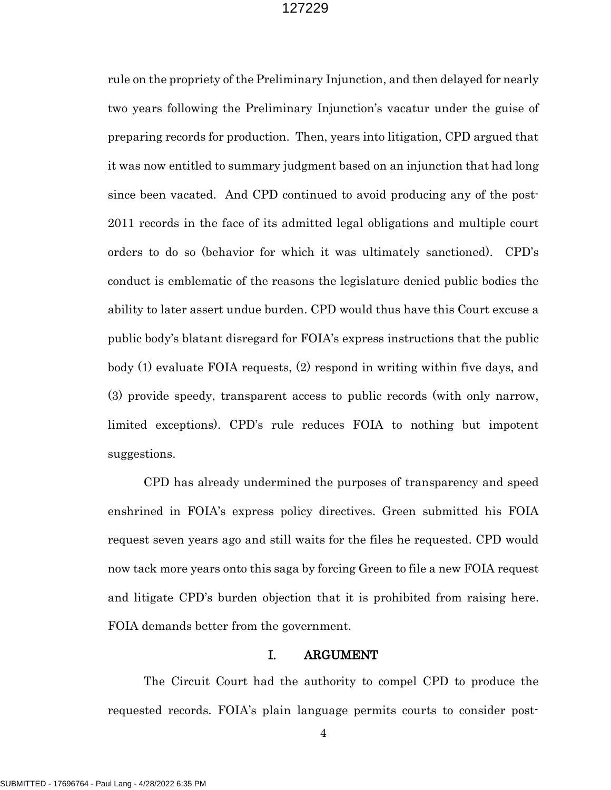rule on the propriety of the Preliminary Injunction, and then delayed for nearly two years following the Preliminary Injunction's vacatur under the guise of preparing records for production. Then, years into litigation, CPD argued that it was now entitled to summary judgment based on an injunction that had long since been vacated. And CPD continued to avoid producing any of the post-2011 records in the face of its admitted legal obligations and multiple court orders to do so (behavior for which it was ultimately sanctioned). CPD's conduct is emblematic of the reasons the legislature denied public bodies the ability to later assert undue burden. CPD would thus have this Court excuse a public body's blatant disregard for FOIA's express instructions that the public body (1) evaluate FOIA requests, (2) respond in writing within five days, and (3) provide speedy, transparent access to public records (with only narrow, limited exceptions). CPD's rule reduces FOIA to nothing but impotent suggestions.

CPD has already undermined the purposes of transparency and speed enshrined in FOIA's express policy directives. Green submitted his FOIA request seven years ago and still waits for the files he requested. CPD would now tack more years onto this saga by forcing Green to file a new FOIA request and litigate CPD's burden objection that it is prohibited from raising here. FOIA demands better from the government.

## I. ARGUMENT

The Circuit Court had the authority to compel CPD to produce the requested records. FOIA's plain language permits courts to consider post-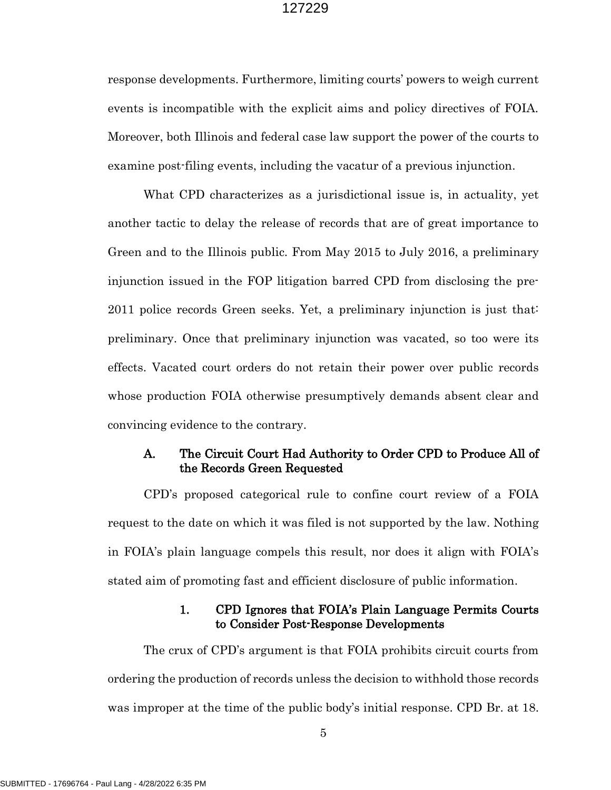response developments. Furthermore, limiting courts' powers to weigh current events is incompatible with the explicit aims and policy directives of FOIA. Moreover, both Illinois and federal case law support the power of the courts to examine post-filing events, including the vacatur of a previous injunction.

What CPD characterizes as a jurisdictional issue is, in actuality, yet another tactic to delay the release of records that are of great importance to Green and to the Illinois public. From May 2015 to July 2016, a preliminary injunction issued in the FOP litigation barred CPD from disclosing the pre-2011 police records Green seeks. Yet, a preliminary injunction is just that: preliminary. Once that preliminary injunction was vacated, so too were its effects. Vacated court orders do not retain their power over public records whose production FOIA otherwise presumptively demands absent clear and convincing evidence to the contrary.

## A. The Circuit Court Had Authority to Order CPD to Produce All of the Records Green Requested

CPD's proposed categorical rule to confine court review of a FOIA request to the date on which it was filed is not supported by the law. Nothing in FOIA's plain language compels this result, nor does it align with FOIA's stated aim of promoting fast and efficient disclosure of public information.

## 1. CPD Ignores that FOIA's Plain Language Permits Courts to Consider Post-Response Developments

The crux of CPD's argument is that FOIA prohibits circuit courts from ordering the production of records unless the decision to withhold those records was improper at the time of the public body's initial response. CPD Br. at 18.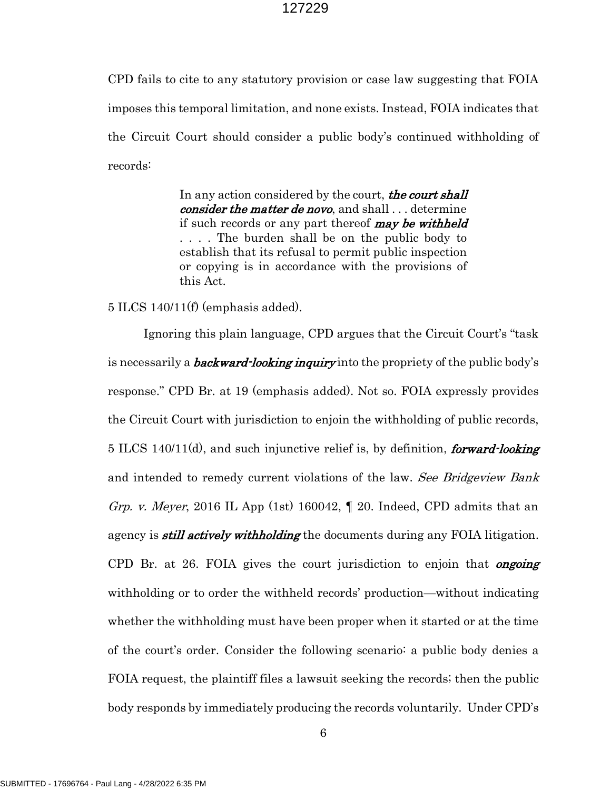CPD fails to cite to any statutory provision or case law suggesting that FOIA imposes this temporal limitation, and none exists. Instead, FOIA indicates that the Circuit Court should consider a public body's continued withholding of records:

> In any action considered by the court, the court shall consider the matter de novo, and shall ... determine if such records or any part thereof **may be withheld** . . . . The burden shall be on the public body to establish that its refusal to permit public inspection or copying is in accordance with the provisions of this Act.

5 ILCS 140/11(f) (emphasis added).

Ignoring this plain language, CPD argues that the Circuit Court's "task is necessarily a *backward-looking inquiry* into the propriety of the public body's response." CPD Br. at 19 (emphasis added). Not so. FOIA expressly provides the Circuit Court with jurisdiction to enjoin the withholding of public records, 5 ILCS 140/11(d), and such injunctive relief is, by definition, *forward-looking* and intended to remedy current violations of the law. See Bridgeview Bank Grp. v. Meyer, 2016 IL App (1st) 160042,  $\P$  20. Indeed, CPD admits that an agency is *still actively withholding* the documents during any FOIA litigation. CPD Br. at 26. FOIA gives the court jurisdiction to enjoin that *ongoing* withholding or to order the withheld records' production—without indicating whether the withholding must have been proper when it started or at the time of the court's order. Consider the following scenario: a public body denies a FOIA request, the plaintiff files a lawsuit seeking the records; then the public body responds by immediately producing the records voluntarily. Under CPD's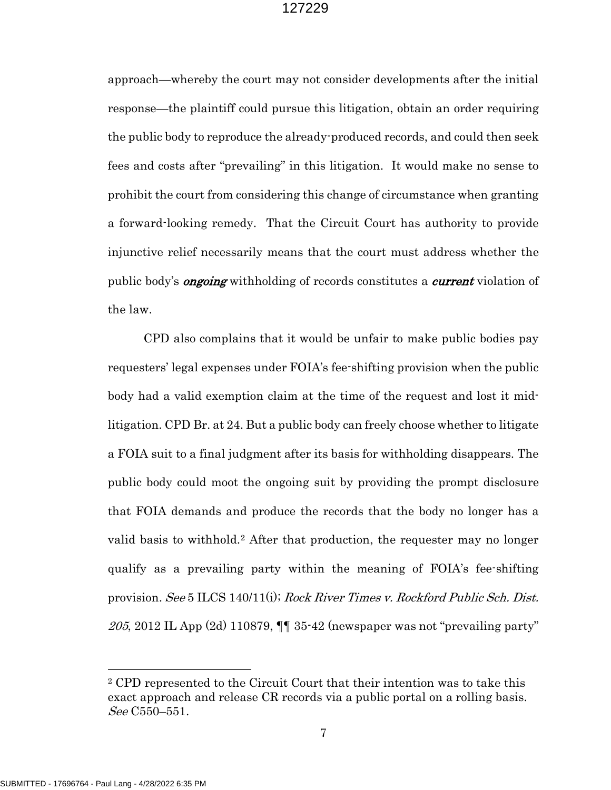approach—whereby the court may not consider developments after the initial response—the plaintiff could pursue this litigation, obtain an order requiring the public body to reproduce the already-produced records, and could then seek fees and costs after "prevailing" in this litigation. It would make no sense to prohibit the court from considering this change of circumstance when granting a forward-looking remedy. That the Circuit Court has authority to provide injunctive relief necessarily means that the court must address whether the public body's **ongoing** withholding of records constitutes a *current* violation of the law.

CPD also complains that it would be unfair to make public bodies pay requesters' legal expenses under FOIA's fee-shifting provision when the public body had a valid exemption claim at the time of the request and lost it midlitigation. CPD Br. at 24. But a public body can freely choose whether to litigate a FOIA suit to a final judgment after its basis for withholding disappears. The public body could moot the ongoing suit by providing the prompt disclosure that FOIA demands and produce the records that the body no longer has a valid basis to withhold.[2](#page-7-0) After that production, the requester may no longer qualify as a prevailing party within the meaning of FOIA's fee-shifting provision. See 5 ILCS 140/11(i); Rock River Times v. Rockford Public Sch. Dist. 205, 2012 IL App  $(2d)$  110879,  $\P\P$  35-42 (newspaper was not "prevailing party"

<span id="page-7-0"></span><sup>2</sup> CPD represented to the Circuit Court that their intention was to take this exact approach and release CR records via a public portal on a rolling basis. See C550–551.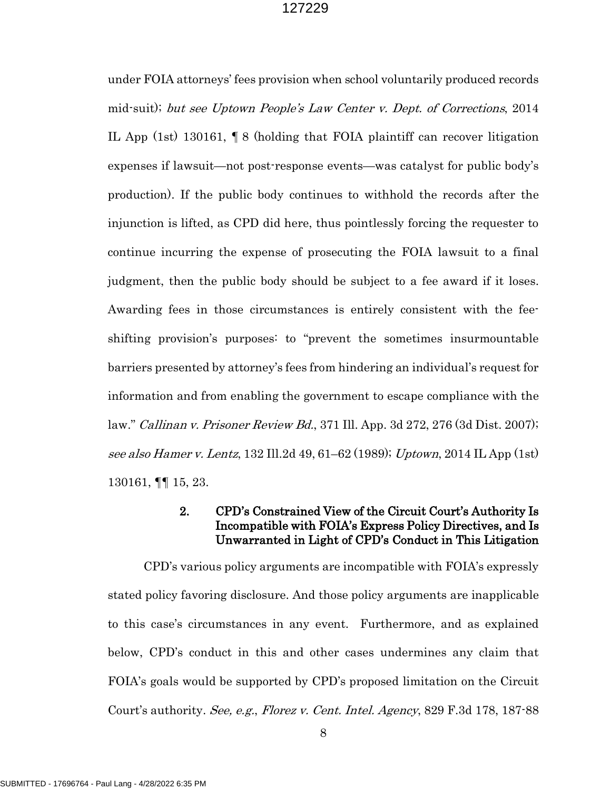under FOIA attorneys' fees provision when school voluntarily produced records mid-suit); but see Uptown People's Law Center v. Dept. of Corrections, 2014 IL App (1st) 130161, ¶ 8 (holding that FOIA plaintiff can recover litigation expenses if lawsuit—not post-response events—was catalyst for public body's production). If the public body continues to withhold the records after the injunction is lifted, as CPD did here, thus pointlessly forcing the requester to continue incurring the expense of prosecuting the FOIA lawsuit to a final judgment, then the public body should be subject to a fee award if it loses. Awarding fees in those circumstances is entirely consistent with the feeshifting provision's purposes: to "prevent the sometimes insurmountable barriers presented by attorney's fees from hindering an individual's request for information and from enabling the government to escape compliance with the law." Callinan v. Prisoner Review Bd., 371 Ill. App. 3d 272, 276 (3d Dist. 2007); see also Hamer v. Lentz, 132 Ill.2d 49, 61–62 (1989); Uptown, 2014 IL App (1st) 130161, ¶¶ 15, 23.

## 2. CPD's Constrained View of the Circuit Court's Authority Is Incompatible with FOIA's Express Policy Directives, and Is Unwarranted in Light of CPD's Conduct in This Litigation

CPD's various policy arguments are incompatible with FOIA's expressly stated policy favoring disclosure. And those policy arguments are inapplicable to this case's circumstances in any event. Furthermore, and as explained below, CPD's conduct in this and other cases undermines any claim that FOIA's goals would be supported by CPD's proposed limitation on the Circuit Court's authority. See, e.g., Florez v. Cent. Intel. Agency, 829 F.3d 178, 187-88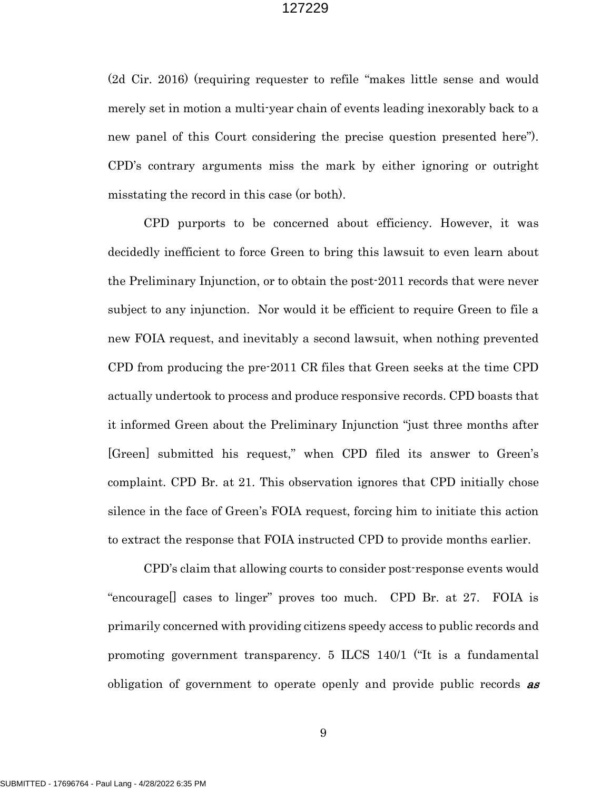(2d Cir. 2016) (requiring requester to refile "makes little sense and would merely set in motion a multi-year chain of events leading inexorably back to a new panel of this Court considering the precise question presented here"). CPD's contrary arguments miss the mark by either ignoring or outright misstating the record in this case (or both).

CPD purports to be concerned about efficiency. However, it was decidedly inefficient to force Green to bring this lawsuit to even learn about the Preliminary Injunction, or to obtain the post-2011 records that were never subject to any injunction. Nor would it be efficient to require Green to file a new FOIA request, and inevitably a second lawsuit, when nothing prevented CPD from producing the pre-2011 CR files that Green seeks at the time CPD actually undertook to process and produce responsive records. CPD boasts that it informed Green about the Preliminary Injunction "just three months after [Green] submitted his request," when CPD filed its answer to Green's complaint. CPD Br. at 21. This observation ignores that CPD initially chose silence in the face of Green's FOIA request, forcing him to initiate this action to extract the response that FOIA instructed CPD to provide months earlier.

CPD's claim that allowing courts to consider post-response events would "encourage[] cases to linger" proves too much. CPD Br. at 27. FOIA is primarily concerned with providing citizens speedy access to public records and promoting government transparency. 5 ILCS 140/1 ("It is a fundamental obligation of government to operate openly and provide public records **as** 

9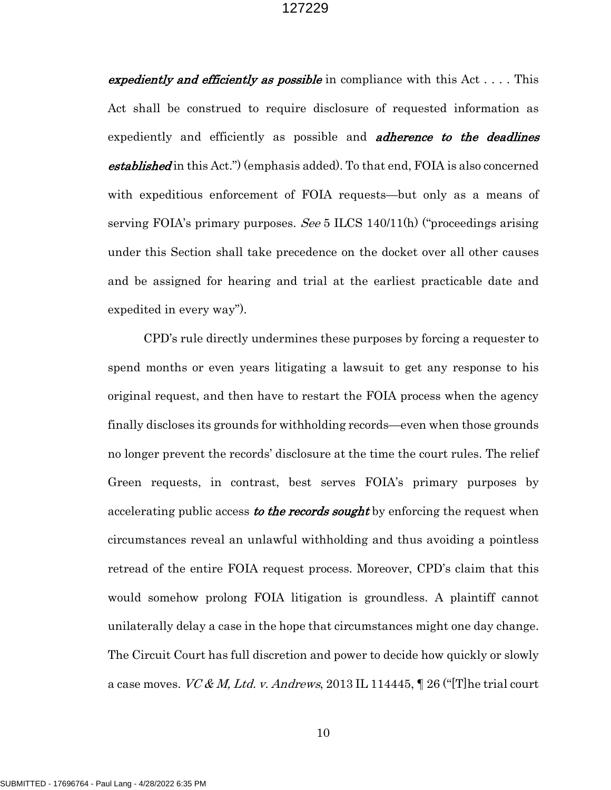expediently and efficiently as possible in compliance with this Act  $\dots$ . This Act shall be construed to require disclosure of requested information as expediently and efficiently as possible and **adherence to the deadlines established** in this Act.") (emphasis added). To that end, FOIA is also concerned with expeditious enforcement of FOIA requests—but only as a means of serving FOIA's primary purposes. See 5 ILCS 140/11(h) ("proceedings arising under this Section shall take precedence on the docket over all other causes and be assigned for hearing and trial at the earliest practicable date and expedited in every way").

CPD's rule directly undermines these purposes by forcing a requester to spend months or even years litigating a lawsuit to get any response to his original request, and then have to restart the FOIA process when the agency finally discloses its grounds for withholding records—even when those grounds no longer prevent the records' disclosure at the time the court rules. The relief Green requests, in contrast, best serves FOIA's primary purposes by accelerating public access to the records sought by enforcing the request when circumstances reveal an unlawful withholding and thus avoiding a pointless retread of the entire FOIA request process. Moreover, CPD's claim that this would somehow prolong FOIA litigation is groundless. A plaintiff cannot unilaterally delay a case in the hope that circumstances might one day change. The Circuit Court has full discretion and power to decide how quickly or slowly a case moves. VC & M, Ltd. v. Andrews, 2013 IL 114445,  $\parallel$  26 ("[T] he trial court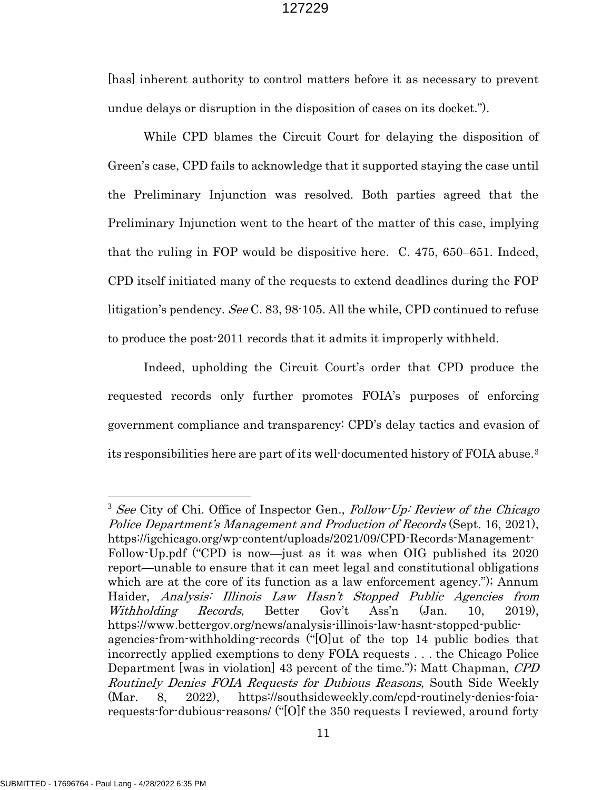[has] inherent authority to control matters before it as necessary to prevent undue delays or disruption in the disposition of cases on its docket.").

While CPD blames the Circuit Court for delaying the disposition of Green's case, CPD fails to acknowledge that it supported staying the case until the Preliminary Injunction was resolved. Both parties agreed that the Preliminary Injunction went to the heart of the matter of this case, implying that the ruling in FOP would be dispositive here. C. 475, 650–651. Indeed, CPD itself initiated many of the requests to extend deadlines during the FOP litigation's pendency. See C. 83, 98-105. All the while, CPD continued to refuse to produce the post-2011 records that it admits it improperly withheld.

Indeed, upholding the Circuit Court's order that CPD produce the requested records only further promotes FOIA's purposes of enforcing government compliance and transparency: CPD's delay tactics and evasion of its responsibilities here are part of its well-documented history of FOIA abuse.[3](#page-11-0)

<span id="page-11-0"></span> $3$  See City of Chi. Office of Inspector Gen., Follow-Up: Review of the Chicago Police Department's Management and Production of Records (Sept. 16, 2021), https://igchicago.org/wp-content/uploads/2021/09/CPD-Records-Management-Follow-Up.pdf ("CPD is now—just as it was when OIG published its 2020 report—unable to ensure that it can meet legal and constitutional obligations which are at the core of its function as a law enforcement agency."); Annum Haider, Analysis: Illinois Law Hasn't Stopped Public Agencies from Withholding Records, Better Gov't Ass'n (Jan. 10, 2019), https://www.bettergov.org/news/analysis-illinois-law-hasnt-stopped-publicagencies-from-withholding-records ("[O]ut of the top 14 public bodies that incorrectly applied exemptions to deny FOIA requests . . . the Chicago Police Department [was in violation] 43 percent of the time."); Matt Chapman, CPD Routinely Denies FOIA Requests for Dubious Reasons, South Side Weekly (Mar. 8, 2022), https://southsideweekly.com/cpd-routinely-denies-foiarequests-for-dubious-reasons/ ("[O]f the 350 requests I reviewed, around forty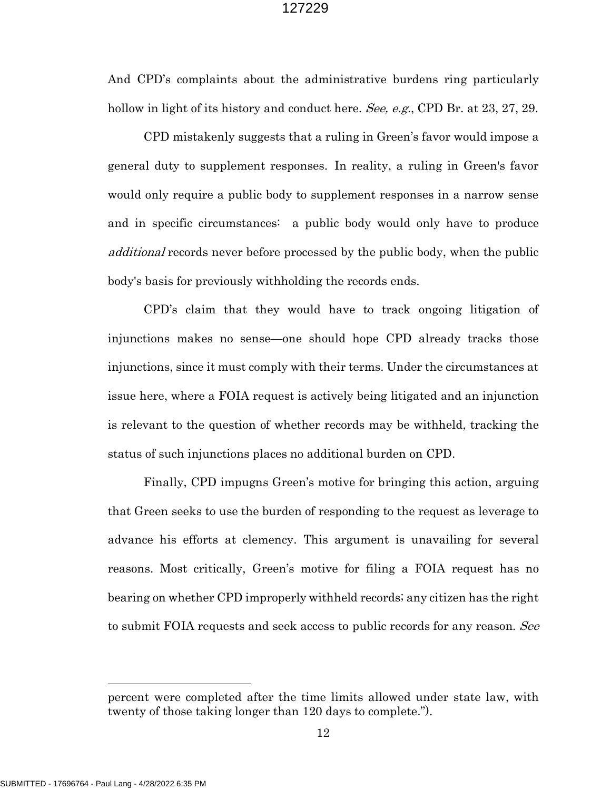And CPD's complaints about the administrative burdens ring particularly hollow in light of its history and conduct here. See, e.g., CPD Br. at 23, 27, 29.

CPD mistakenly suggests that a ruling in Green's favor would impose a general duty to supplement responses. In reality, a ruling in Green's favor would only require a public body to supplement responses in a narrow sense and in specific circumstances: a public body would only have to produce additional records never before processed by the public body, when the public body's basis for previously withholding the records ends.

CPD's claim that they would have to track ongoing litigation of injunctions makes no sense—one should hope CPD already tracks those injunctions, since it must comply with their terms. Under the circumstances at issue here, where a FOIA request is actively being litigated and an injunction is relevant to the question of whether records may be withheld, tracking the status of such injunctions places no additional burden on CPD.

Finally, CPD impugns Green's motive for bringing this action, arguing that Green seeks to use the burden of responding to the request as leverage to advance his efforts at clemency. This argument is unavailing for several reasons. Most critically, Green's motive for filing a FOIA request has no bearing on whether CPD improperly withheld records; any citizen has the right to submit FOIA requests and seek access to public records for any reason. See

percent were completed after the time limits allowed under state law, with twenty of those taking longer than 120 days to complete.").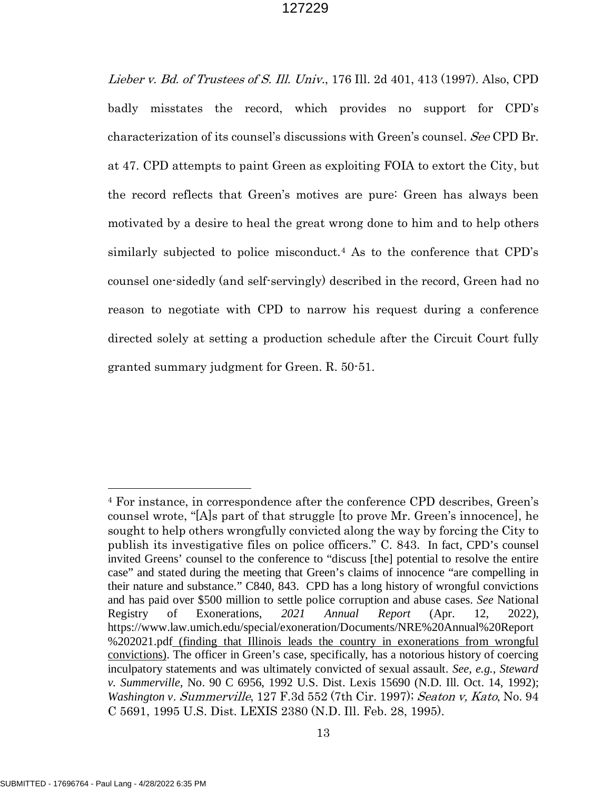Lieber v. Bd. of Trustees of S. Ill. Univ., 176 Ill. 2d 401, 413 (1997). Also, CPD badly misstates the record, which provides no support for CPD's characterization of its counsel's discussions with Green's counsel. See CPD Br. at 47. CPD attempts to paint Green as exploiting FOIA to extort the City, but the record reflects that Green's motives are pure: Green has always been motivated by a desire to heal the great wrong done to him and to help others similarly subjected to police misconduct.<sup>[4](#page-13-0)</sup> As to the conference that CPD's counsel one-sidedly (and self-servingly) described in the record, Green had no reason to negotiate with CPD to narrow his request during a conference directed solely at setting a production schedule after the Circuit Court fully granted summary judgment for Green. R. 50-51.

<span id="page-13-0"></span><sup>4</sup> For instance, in correspondence after the conference CPD describes, Green's counsel wrote, "[A]s part of that struggle [to prove Mr. Green's innocence], he sought to help others wrongfully convicted along the way by forcing the City to publish its investigative files on police officers." C. 843. In fact, CPD's counsel invited Greens' counsel to the conference to "discuss [the] potential to resolve the entire case" and stated during the meeting that Green's claims of innocence "are compelling in their nature and substance." C840, 843. CPD has a long history of wrongful convictions and has paid over \$500 million to settle police corruption and abuse cases. *See* National Registry of Exonerations, *2021 Annual Report* (Apr. 12, 2022), https://www.law.umich.edu/special/exoneration/Documents/NRE%20Annual%20Report %202021.pdf (finding that Illinois leads the country in exonerations from wrongful convictions). The officer in Green's case, specifically, has a notorious history of coercing inculpatory statements and was ultimately convicted of sexual assault. *See, e.g.*, *Steward v. Summerville*, No. 90 C 6956, 1992 U.S. Dist. Lexis 15690 (N.D. Ill. Oct. 14, 1992); *Washington v*. Summerville, 127 F.3d 552 (7th Cir. 1997); Seaton v, Kato, No. 94 C 5691, 1995 U.S. Dist. LEXIS 2380 (N.D. Ill. Feb. 28, 1995).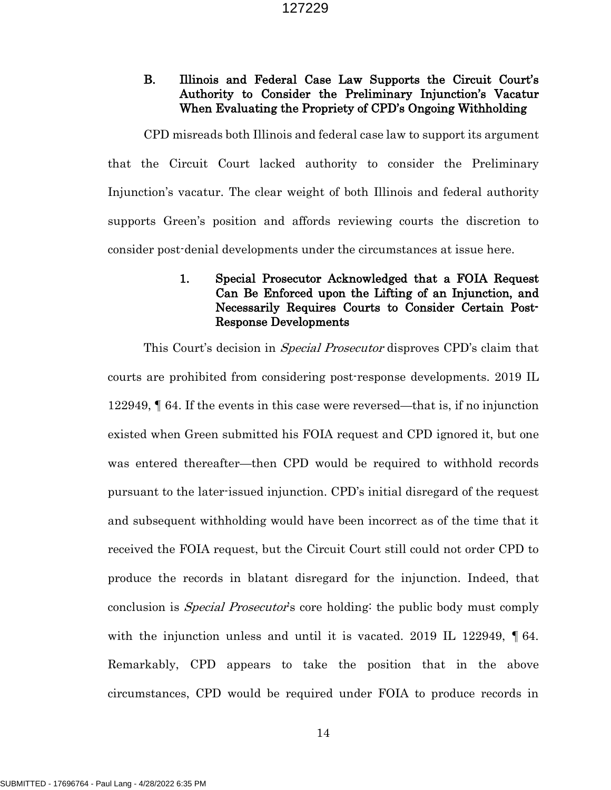# B. Illinois and Federal Case Law Supports the Circuit Court's Authority to Consider the Preliminary Injunction's Vacatur When Evaluating the Propriety of CPD's Ongoing Withholding

CPD misreads both Illinois and federal case law to support its argument that the Circuit Court lacked authority to consider the Preliminary Injunction's vacatur. The clear weight of both Illinois and federal authority supports Green's position and affords reviewing courts the discretion to consider post-denial developments under the circumstances at issue here.

# 1. Special Prosecutor Acknowledged that a FOIA Request Can Be Enforced upon the Lifting of an Injunction, and Necessarily Requires Courts to Consider Certain Post-Response Developments

This Court's decision in *Special Prosecutor* disproves CPD's claim that courts are prohibited from considering post-response developments. 2019 IL 122949, ¶ 64. If the events in this case were reversed—that is, if no injunction existed when Green submitted his FOIA request and CPD ignored it, but one was entered thereafter—then CPD would be required to withhold records pursuant to the later-issued injunction. CPD's initial disregard of the request and subsequent withholding would have been incorrect as of the time that it received the FOIA request, but the Circuit Court still could not order CPD to produce the records in blatant disregard for the injunction. Indeed, that conclusion is *Special Prosecutor's* core holding: the public body must comply with the injunction unless and until it is vacated. 2019 IL 122949, [64.] Remarkably, CPD appears to take the position that in the above circumstances, CPD would be required under FOIA to produce records in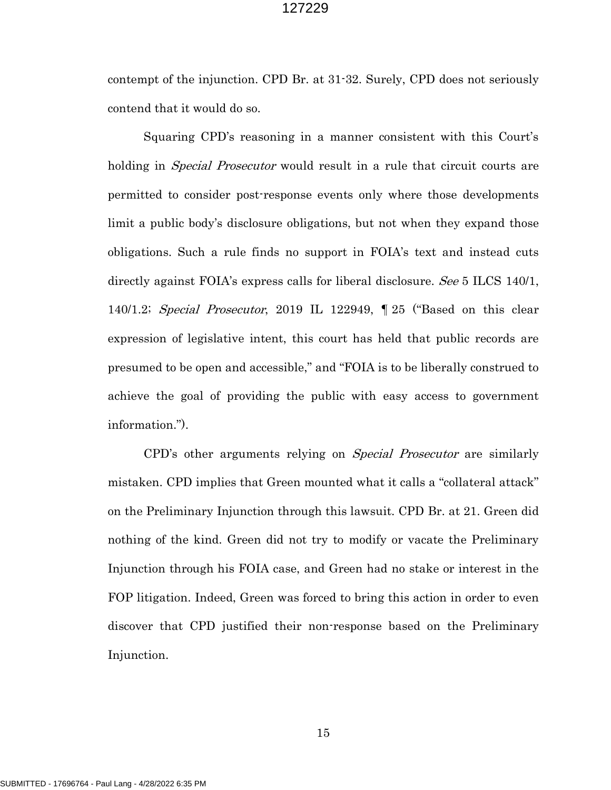contempt of the injunction. CPD Br. at 31-32. Surely, CPD does not seriously contend that it would do so.

Squaring CPD's reasoning in a manner consistent with this Court's holding in *Special Prosecutor* would result in a rule that circuit courts are permitted to consider post-response events only where those developments limit a public body's disclosure obligations, but not when they expand those obligations. Such a rule finds no support in FOIA's text and instead cuts directly against FOIA's express calls for liberal disclosure. See 5 ILCS 140/1, 140/1.2; Special Prosecutor, 2019 IL 122949, ¶ 25 ("Based on this clear expression of legislative intent, this court has held that public records are presumed to be open and accessible," and "FOIA is to be liberally construed to achieve the goal of providing the public with easy access to government information.").

CPD's other arguments relying on Special Prosecutor are similarly mistaken. CPD implies that Green mounted what it calls a "collateral attack" on the Preliminary Injunction through this lawsuit. CPD Br. at 21. Green did nothing of the kind. Green did not try to modify or vacate the Preliminary Injunction through his FOIA case, and Green had no stake or interest in the FOP litigation. Indeed, Green was forced to bring this action in order to even discover that CPD justified their non-response based on the Preliminary Injunction.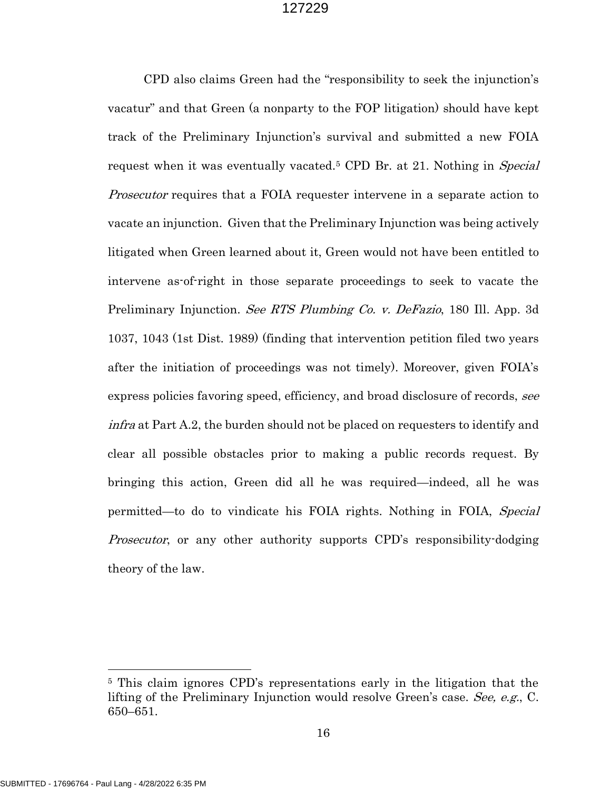CPD also claims Green had the "responsibility to seek the injunction's vacatur" and that Green (a nonparty to the FOP litigation) should have kept track of the Preliminary Injunction's survival and submitted a new FOIA request when it was eventually vacated.<sup>[5](#page-16-0)</sup> CPD Br. at 21. Nothing in *Special* Prosecutor requires that a FOIA requester intervene in a separate action to vacate an injunction. Given that the Preliminary Injunction was being actively litigated when Green learned about it, Green would not have been entitled to intervene as-of-right in those separate proceedings to seek to vacate the Preliminary Injunction. See RTS Plumbing Co. v. DeFazio, 180 Ill. App. 3d 1037, 1043 (1st Dist. 1989) (finding that intervention petition filed two years after the initiation of proceedings was not timely). Moreover, given FOIA's express policies favoring speed, efficiency, and broad disclosure of records, see infra at Part A.2, the burden should not be placed on requesters to identify and clear all possible obstacles prior to making a public records request. By bringing this action, Green did all he was required—indeed, all he was permitted—to do to vindicate his FOIA rights. Nothing in FOIA, Special Prosecutor, or any other authority supports CPD's responsibility-dodging theory of the law.

<span id="page-16-0"></span><sup>5</sup> This claim ignores CPD's representations early in the litigation that the lifting of the Preliminary Injunction would resolve Green's case. See, e.g., C. 650–651.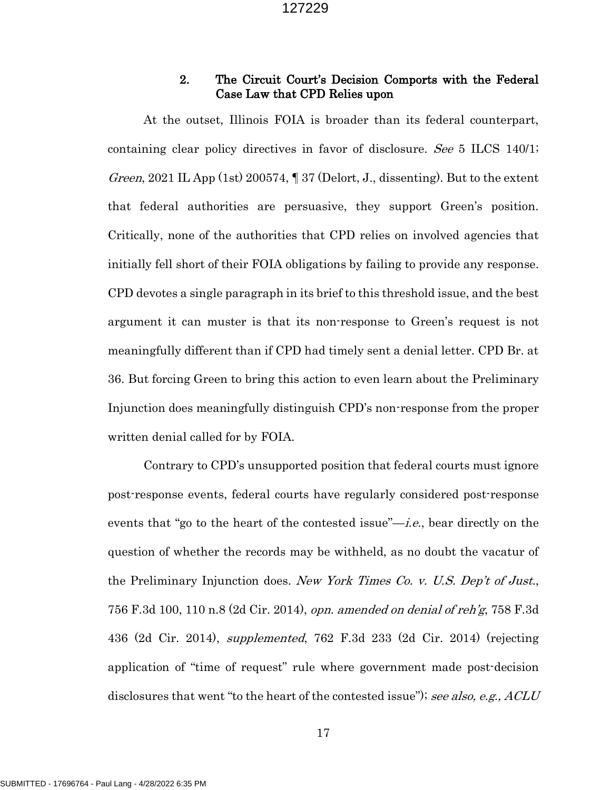## 2. The Circuit Court's Decision Comports with the Federal Case Law that CPD Relies upon

At the outset, Illinois FOIA is broader than its federal counterpart, containing clear policy directives in favor of disclosure. See 5 ILCS 140/1; *Green*, 2021 IL App (1st) 200574,  $\parallel$  37 (Delort, J., dissenting). But to the extent that federal authorities are persuasive, they support Green's position. Critically, none of the authorities that CPD relies on involved agencies that initially fell short of their FOIA obligations by failing to provide any response. CPD devotes a single paragraph in its brief to this threshold issue, and the best argument it can muster is that its non-response to Green's request is not meaningfully different than if CPD had timely sent a denial letter. CPD Br. at 36. But forcing Green to bring this action to even learn about the Preliminary Injunction does meaningfully distinguish CPD's non-response from the proper written denial called for by FOIA.

Contrary to CPD's unsupported position that federal courts must ignore post-response events, federal courts have regularly considered post-response events that "go to the heart of the contested issue"—*i.e.*, bear directly on the question of whether the records may be withheld, as no doubt the vacatur of the Preliminary Injunction does. New York Times Co. v. U.S. Dep't of Just., 756 F.3d 100, 110 n.8 (2d Cir. 2014), opn. amended on denial of reh'g, 758 F.3d 436 (2d Cir. 2014), supplemented, 762 F.3d 233 (2d Cir. 2014) (rejecting application of "time of request" rule where government made post-decision disclosures that went "to the heart of the contested issue"); see also, e.g., ACLU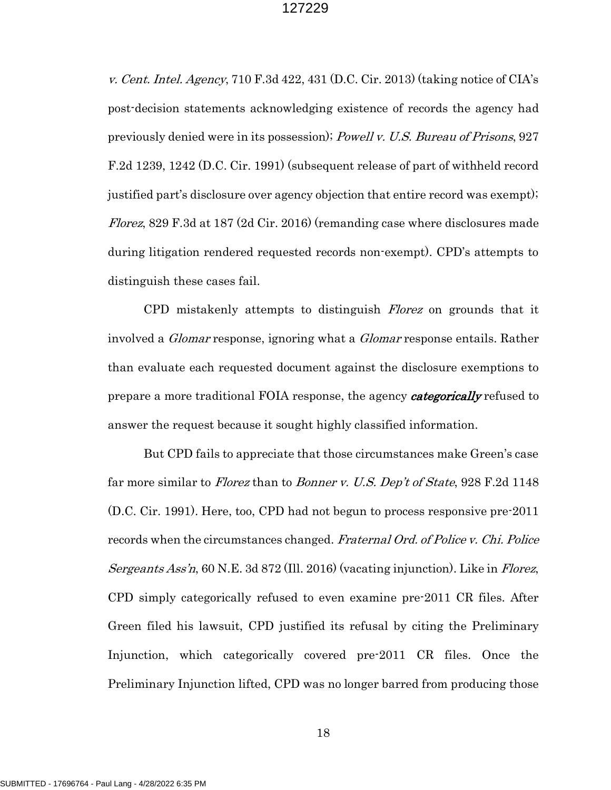v. Cent. Intel. Agency, 710 F.3d 422, 431 (D.C. Cir. 2013) (taking notice of CIA's post-decision statements acknowledging existence of records the agency had previously denied were in its possession); Powell v. U.S. Bureau of Prisons, 927 F.2d 1239, 1242 (D.C. Cir. 1991) (subsequent release of part of withheld record justified part's disclosure over agency objection that entire record was exempt); Florez, 829 F.3d at 187 (2d Cir. 2016) (remanding case where disclosures made during litigation rendered requested records non-exempt). CPD's attempts to distinguish these cases fail.

CPD mistakenly attempts to distinguish Florez on grounds that it involved a *Glomar* response, ignoring what a *Glomar* response entails. Rather than evaluate each requested document against the disclosure exemptions to prepare a more traditional FOIA response, the agency *categorically* refused to answer the request because it sought highly classified information.

But CPD fails to appreciate that those circumstances make Green's case far more similar to *Florez* than to *Bonner v. U.S. Dep't of State*, 928 F.2d 1148 (D.C. Cir. 1991). Here, too, CPD had not begun to process responsive pre-2011 records when the circumstances changed. Fraternal Ord. of Police v. Chi. Police Sergeants Ass'n, 60 N.E. 3d 872 (Ill. 2016) (vacating injunction). Like in Florez, CPD simply categorically refused to even examine pre-2011 CR files. After Green filed his lawsuit, CPD justified its refusal by citing the Preliminary Injunction, which categorically covered pre-2011 CR files. Once the Preliminary Injunction lifted, CPD was no longer barred from producing those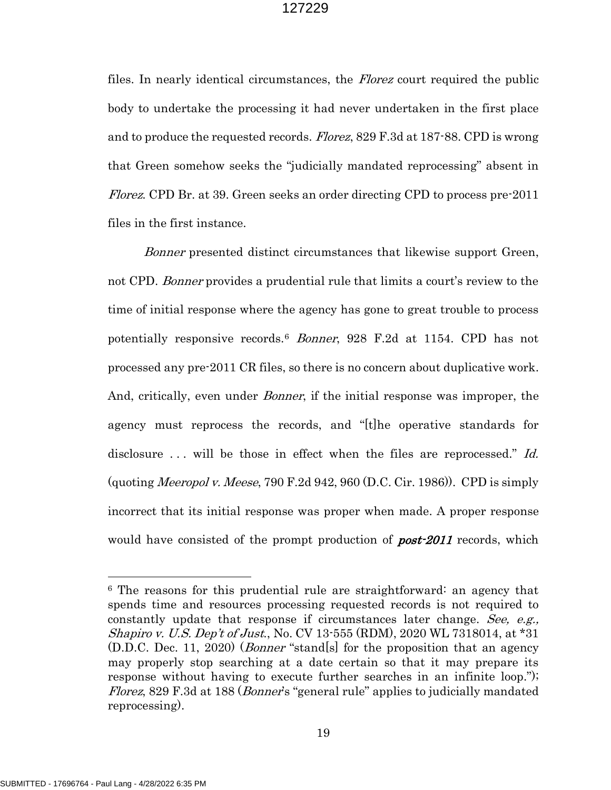files. In nearly identical circumstances, the *Florez* court required the public body to undertake the processing it had never undertaken in the first place and to produce the requested records. Florez, 829 F.3d at 187-88. CPD is wrong that Green somehow seeks the "judicially mandated reprocessing" absent in Florez. CPD Br. at 39. Green seeks an order directing CPD to process pre-2011 files in the first instance.

Bonner presented distinct circumstances that likewise support Green, not CPD. Bonner provides a prudential rule that limits a court's review to the time of initial response where the agency has gone to great trouble to process potentially responsive records.[6](#page-19-0) Bonner, 928 F.2d at 1154. CPD has not processed any pre-2011 CR files, so there is no concern about duplicative work. And, critically, even under *Bonner*, if the initial response was improper, the agency must reprocess the records, and "[t]he operative standards for disclosure ... will be those in effect when the files are reprocessed." Id. (quoting *Meeropol v. Meese*, 790 F.2d 942, 960 (D.C. Cir. 1986)). CPD is simply incorrect that its initial response was proper when made. A proper response would have consisted of the prompt production of *post-2011* records, which

<span id="page-19-0"></span><sup>6</sup> The reasons for this prudential rule are straightforward: an agency that spends time and resources processing requested records is not required to constantly update that response if circumstances later change. See, e.g., Shapiro v. U.S. Dep't of Just., No. CV 13-555 (RDM), 2020 WL 7318014, at \*31 (D.D.C. Dec. 11, 2020) (Bonner "stand[s] for the proposition that an agency may properly stop searching at a date certain so that it may prepare its response without having to execute further searches in an infinite loop."); Florez, 829 F.3d at 188 (Bonner's "general rule" applies to judicially mandated reprocessing).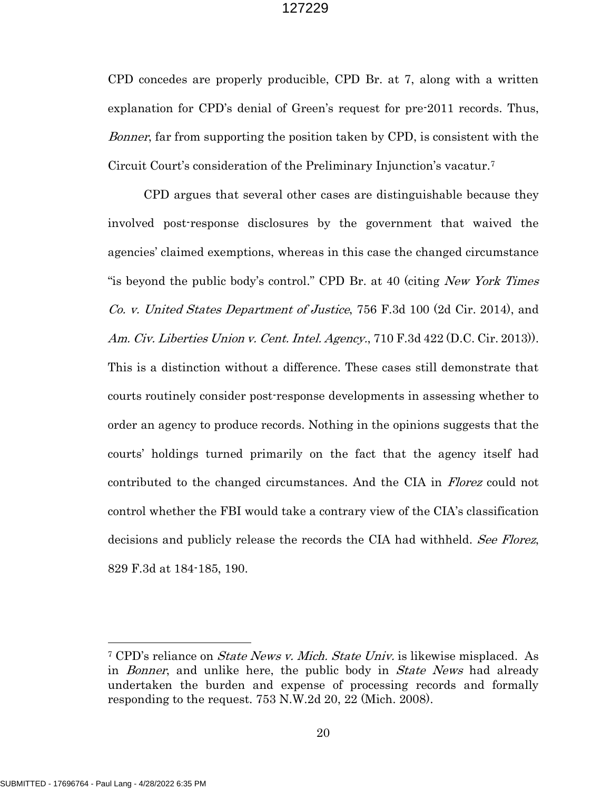CPD concedes are properly producible, CPD Br. at 7, along with a written explanation for CPD's denial of Green's request for pre-2011 records. Thus, Bonner, far from supporting the position taken by CPD, is consistent with the Circuit Court's consideration of the Preliminary Injunction's vacatur.[7](#page-20-0)

CPD argues that several other cases are distinguishable because they involved post-response disclosures by the government that waived the agencies' claimed exemptions, whereas in this case the changed circumstance "is beyond the public body's control." CPD Br. at 40 (citing New York Times Co. v. United States Department of Justice, 756 F.3d 100 (2d Cir. 2014), and Am. Civ. Liberties Union v. Cent. Intel. Agency., 710 F.3d 422 (D.C. Cir. 2013)). This is a distinction without a difference. These cases still demonstrate that courts routinely consider post-response developments in assessing whether to order an agency to produce records. Nothing in the opinions suggests that the courts' holdings turned primarily on the fact that the agency itself had contributed to the changed circumstances. And the CIA in Florez could not control whether the FBI would take a contrary view of the CIA's classification decisions and publicly release the records the CIA had withheld. See Florez, 829 F.3d at 184-185, 190.

<span id="page-20-0"></span><sup>&</sup>lt;sup>7</sup> CPD's reliance on *State News v. Mich. State Univ.* is likewise misplaced. As in *Bonner*, and unlike here, the public body in *State News* had already undertaken the burden and expense of processing records and formally responding to the request. 753 N.W.2d 20, 22 (Mich. 2008).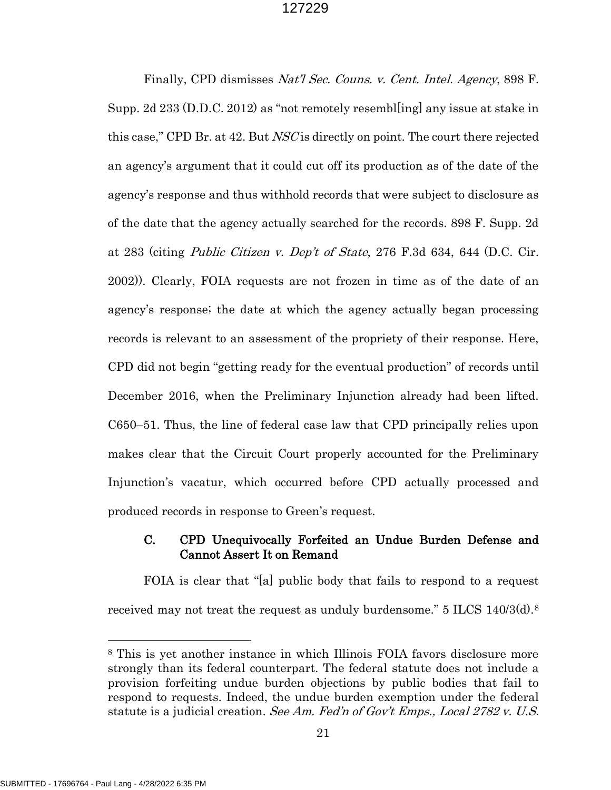Finally, CPD dismisses Nat'l Sec. Couns. v. Cent. Intel. Agency, 898 F. Supp. 2d 233 (D.D.C. 2012) as "not remotely resembl[ing] any issue at stake in this case," CPD Br. at 42. But NSC is directly on point. The court there rejected an agency's argument that it could cut off its production as of the date of the agency's response and thus withhold records that were subject to disclosure as of the date that the agency actually searched for the records. 898 F. Supp. 2d at 283 (citing *Public Citizen v. Dep't of State*, 276 F.3d 634, 644 (D.C. Cir. 2002)). Clearly, FOIA requests are not frozen in time as of the date of an agency's response; the date at which the agency actually began processing records is relevant to an assessment of the propriety of their response. Here, CPD did not begin "getting ready for the eventual production" of records until December 2016, when the Preliminary Injunction already had been lifted. C650–51. Thus, the line of federal case law that CPD principally relies upon makes clear that the Circuit Court properly accounted for the Preliminary Injunction's vacatur, which occurred before CPD actually processed and produced records in response to Green's request.

## C. CPD Unequivocally Forfeited an Undue Burden Defense and Cannot Assert It on Remand

FOIA is clear that "[a] public body that fails to respond to a request received may not treat the request as unduly burdensome."  $5$  ILCS 140/3(d).<sup>[8](#page-21-0)</sup>

<span id="page-21-0"></span><sup>8</sup> This is yet another instance in which Illinois FOIA favors disclosure more strongly than its federal counterpart. The federal statute does not include a provision forfeiting undue burden objections by public bodies that fail to respond to requests. Indeed, the undue burden exemption under the federal statute is a judicial creation. See Am. Fed'n of Gov't Emps., Local 2782 v. U.S.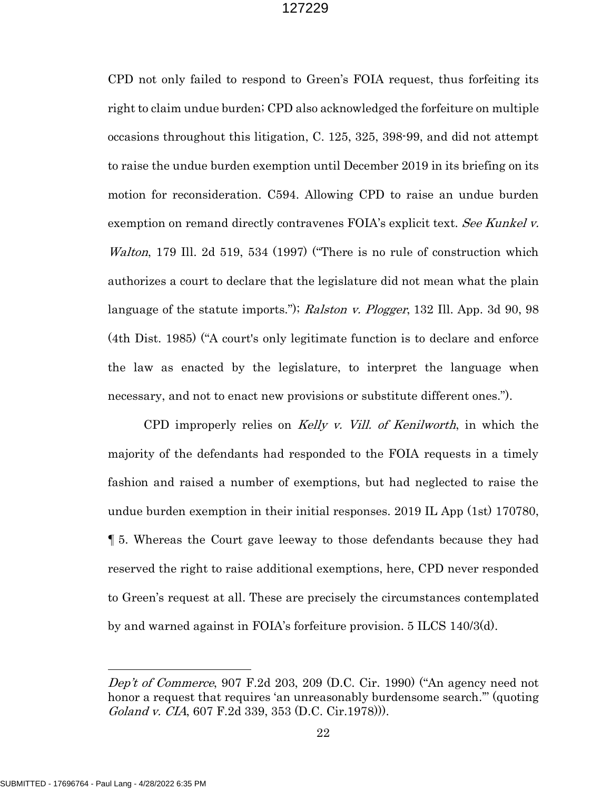CPD not only failed to respond to Green's FOIA request, thus forfeiting its right to claim undue burden; CPD also acknowledged the forfeiture on multiple occasions throughout this litigation, C. 125, 325, 398-99, and did not attempt to raise the undue burden exemption until December 2019 in its briefing on its motion for reconsideration. C594. Allowing CPD to raise an undue burden exemption on remand directly contravenes FOIA's explicit text. See Kunkel v. Walton, 179 Ill. 2d 519, 534 (1997) ("There is no rule of construction which authorizes a court to declare that the legislature did not mean what the plain language of the statute imports."); Ralston v. Plogger, 132 Ill. App. 3d 90, 98 (4th Dist. 1985) ("A court's only legitimate function is to declare and enforce the law as enacted by the legislature, to interpret the language when necessary, and not to enact new provisions or substitute different ones.").

CPD improperly relies on Kelly v. Vill. of Kenilworth, in which the majority of the defendants had responded to the FOIA requests in a timely fashion and raised a number of exemptions, but had neglected to raise the undue burden exemption in their initial responses. 2019 IL App (1st) 170780, ¶ 5. Whereas the Court gave leeway to those defendants because they had reserved the right to raise additional exemptions, here, CPD never responded to Green's request at all. These are precisely the circumstances contemplated by and warned against in FOIA's forfeiture provision. 5 ILCS 140/3(d).

Dep't of Commerce, 907 F.2d 203, 209 (D.C. Cir. 1990) ("An agency need not honor a request that requires 'an unreasonably burdensome search.'" (quoting Goland v. CIA, 607 F.2d 339, 353 (D.C. Cir.1978))).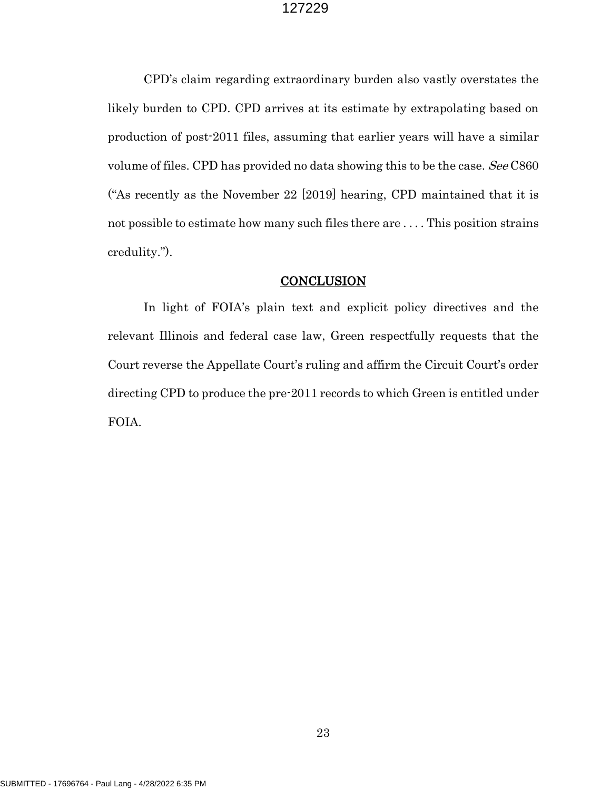CPD's claim regarding extraordinary burden also vastly overstates the likely burden to CPD. CPD arrives at its estimate by extrapolating based on production of post-2011 files, assuming that earlier years will have a similar volume of files. CPD has provided no data showing this to be the case. See C860 ("As recently as the November 22 [2019] hearing, CPD maintained that it is not possible to estimate how many such files there are . . . . This position strains credulity.").

### **CONCLUSION**

In light of FOIA's plain text and explicit policy directives and the relevant Illinois and federal case law, Green respectfully requests that the Court reverse the Appellate Court's ruling and affirm the Circuit Court's order directing CPD to produce the pre-2011 records to which Green is entitled under FOIA.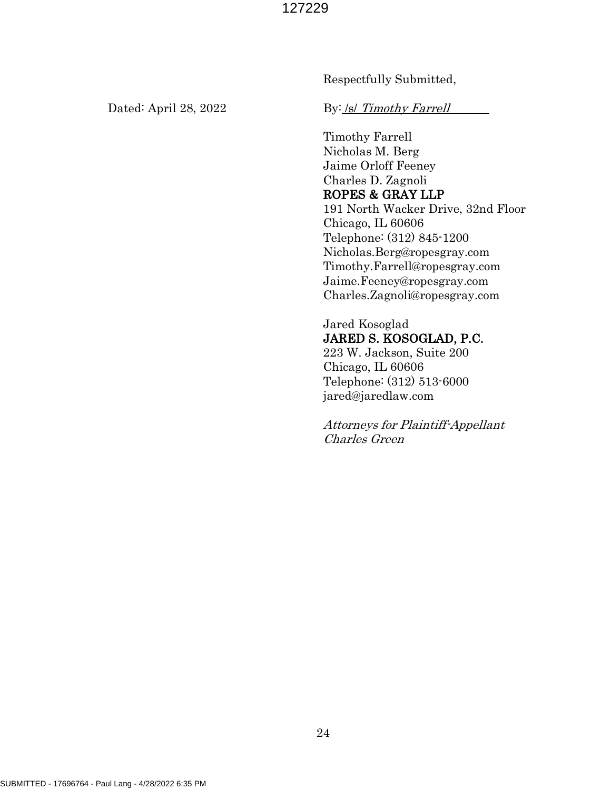Respectfully Submitted,

Dated: April 28, 2022 By: <u>/s/ Timothy Farrell</u>

Timothy Farrell Nicholas M. Berg Jaime Orloff Feeney Charles D. Zagnoli ROPES & GRAY LLP 191 North Wacker Drive, 32nd Floor Chicago, IL 60606 Telephone: (312) 845-1200 Nicholas.Berg@ropesgray.com Timothy.Farrell@ropesgray.com Jaime.Feeney@ropesgray.com Charles.Zagnoli@ropesgray.com

Jared Kosoglad JARED S. KOSOGLAD, P.C. 223 W. Jackson, Suite 200 Chicago, IL 60606 Telephone: (312) 513-6000 jared@jaredlaw.com

Attorneys for Plaintiff-Appellant Charles Green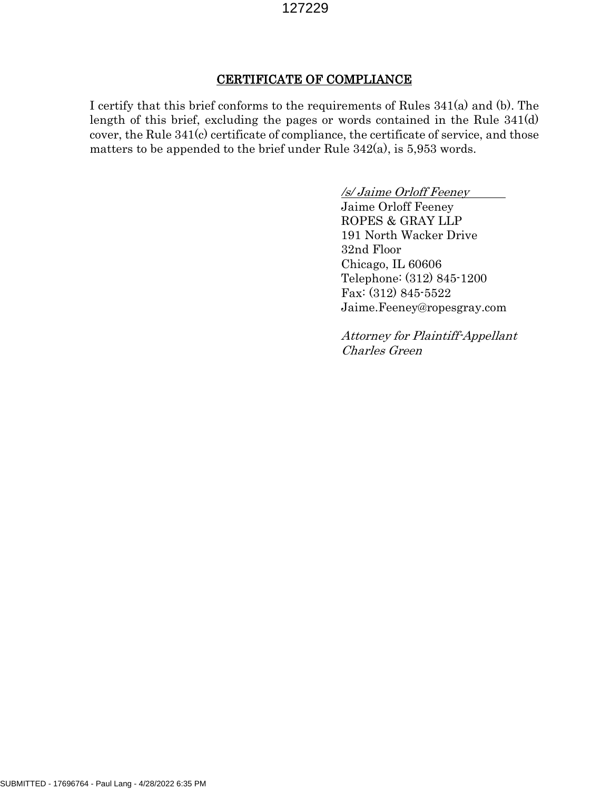## CERTIFICATE OF COMPLIANCE

I certify that this brief conforms to the requirements of Rules 341(a) and (b). The length of this brief, excluding the pages or words contained in the Rule 341(d) cover, the Rule 341(c) certificate of compliance, the certificate of service, and those matters to be appended to the brief under Rule 342(a), is 5,953 words.

> /s/ Jaime Orloff Feeney Jaime Orloff Feeney ROPES & GRAY LLP 191 North Wacker Drive 32nd Floor Chicago, IL 60606 Telephone: (312) 845-1200 Fax: (312) 845-5522 [Jaime.Feeney@ropesgray.com](mailto:Jaime.Feeney@ropesgray.com)

Attorney for Plaintiff-Appellant Charles Green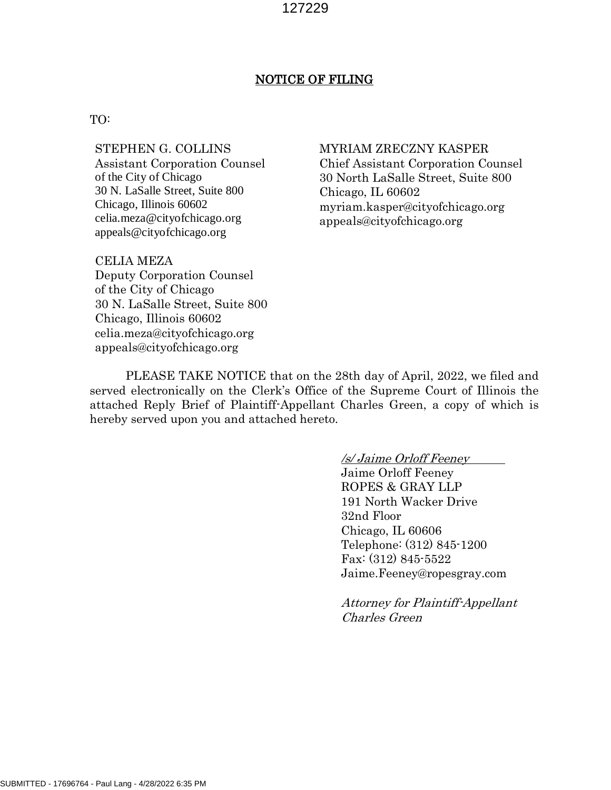## NOTICE OF FILING

#### TO:

# STEPHEN G. COLLINS

Assistant Corporation Counsel of the City of Chicago 30 N. LaSalle Street, Suite 800 Chicago, Illinois 60602 celia.meza@cityofchicago.org appeals@cityofchicago.org

## CELIA MEZA Deputy Corporation Counsel of the City of Chicago 30 N. LaSalle Street, Suite 800 Chicago, Illinois 60602 celia.meza@cityofchicago.org appeals@cityofchicago.org

#### MYRIAM ZRECZNY KASPER

Chief Assistant Corporation Counsel 30 North LaSalle Street, Suite 800 Chicago, IL 60602 myriam.kasper@cityofchicago.org appeals@cityofchicago.org

PLEASE TAKE NOTICE that on the 28th day of April, 2022, we filed and served electronically on the Clerk's Office of the Supreme Court of Illinois the attached Reply Brief of Plaintiff-Appellant Charles Green, a copy of which is hereby served upon you and attached hereto.

/s/ Jaime Orloff Feeney

Jaime Orloff Feeney ROPES & GRAY LLP 191 North Wacker Drive 32nd Floor Chicago, IL 60606 Telephone: (312) 845-1200 Fax: (312) 845-5522 [Jaime.Feeney@ropesgray.com](mailto:Jaime.Feeney@ropesgray.com)

Attorney for Plaintiff-Appellant Charles Green